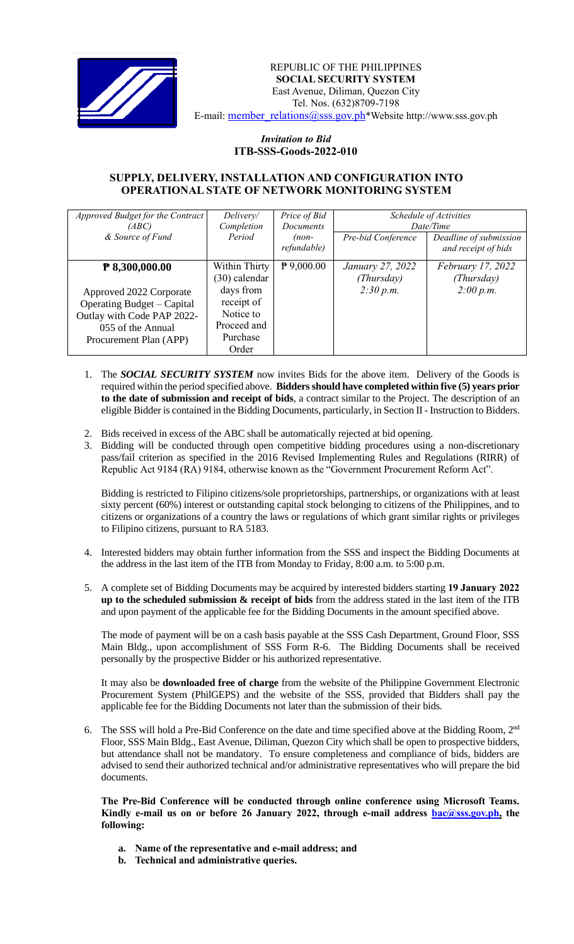

## REPUBLIC OF THE PHILIPPINES  **SOCIAL SECURITY SYSTEM** East Avenue, Diliman, Quezon City Tel. Nos. (632)8709-7198 E-mail: [member\\_relations@sss.gov.ph](mailto:member_relations@sss.gov.ph)\*Website http://www.sss.gov.ph

## *Invitation to Bid*  **ITB-SSS-Goods-2022-010**

## **SUPPLY, DELIVERY, INSTALLATION AND CONFIGURATION INTO OPERATIONAL STATE OF NETWORK MONITORING SYSTEM**

| Approved Budget for the Contract<br>(ABC)                                                                                          | Delivery/<br>Completion                                                  | Price of Bid<br><b>Documents</b> | Schedule of Activities<br>Date/Time |                                               |
|------------------------------------------------------------------------------------------------------------------------------------|--------------------------------------------------------------------------|----------------------------------|-------------------------------------|-----------------------------------------------|
| & Source of Fund                                                                                                                   | Period                                                                   | $(non-$<br>refundable)           | Pre-bid Conference                  | Deadline of submission<br>and receipt of bids |
| ₹ 8,300,000.00                                                                                                                     | Within Thirty<br>$(30)$ calendar                                         | $P$ 9,000.00                     | January 27, 2022<br>(Thursday)      | February 17, 2022<br>(Thursday)               |
| Approved 2022 Corporate<br>Operating Budget – Capital<br>Outlay with Code PAP 2022-<br>055 of the Annual<br>Procurement Plan (APP) | days from<br>receipt of<br>Notice to<br>Proceed and<br>Purchase<br>Order |                                  | 2:30 p.m.                           | 2:00 p.m.                                     |

- 1. The *SOCIAL SECURITY SYSTEM* now invites Bids for the above item. Delivery of the Goods is required within the period specified above. **Bidders should have completed within five (5) years prior to the date of submission and receipt of bids**, a contract similar to the Project. The description of an eligible Bidder is contained in the Bidding Documents, particularly, in Section II - Instruction to Bidders.
- 2. Bids received in excess of the ABC shall be automatically rejected at bid opening.
- 3. Bidding will be conducted through open competitive bidding procedures using a non-discretionary pass/fail criterion as specified in the 2016 Revised Implementing Rules and Regulations (RIRR) of Republic Act 9184 (RA) 9184, otherwise known as the "Government Procurement Reform Act".

Bidding is restricted to Filipino citizens/sole proprietorships, partnerships, or organizations with at least sixty percent (60%) interest or outstanding capital stock belonging to citizens of the Philippines, and to citizens or organizations of a country the laws or regulations of which grant similar rights or privileges to Filipino citizens, pursuant to RA 5183.

- 4. Interested bidders may obtain further information from the SSS and inspect the Bidding Documents at the address in the last item of the ITB from Monday to Friday, 8:00 a.m. to 5:00 p.m.
- 5. A complete set of Bidding Documents may be acquired by interested bidders starting **19 January 2022 up to the scheduled submission & receipt of bids** from the address stated in the last item of the ITB and upon payment of the applicable fee for the Bidding Documents in the amount specified above.

The mode of payment will be on a cash basis payable at the SSS Cash Department, Ground Floor, SSS Main Bldg., upon accomplishment of SSS Form R-6. The Bidding Documents shall be received personally by the prospective Bidder or his authorized representative.

It may also be **downloaded free of charge** from the website of the Philippine Government Electronic Procurement System (PhilGEPS) and the website of the SSS*,* provided that Bidders shall pay the applicable fee for the Bidding Documents not later than the submission of their bids.

6. The SSS will hold a Pre-Bid Conference on the date and time specified above at the Bidding Room, 2<sup>nd</sup> Floor, SSS Main Bldg., East Avenue, Diliman, Quezon City which shall be open to prospective bidders, but attendance shall not be mandatory. To ensure completeness and compliance of bids, bidders are advised to send their authorized technical and/or administrative representatives who will prepare the bid documents.

**The Pre-Bid Conference will be conducted through online conference using Microsoft Teams.**  Kindly e-mail us on or before 26 January 2022, through e-mail address **bac@sss.gov.ph**, the **following:**

- **a. Name of the representative and e-mail address; and**
- **b. Technical and administrative queries.**